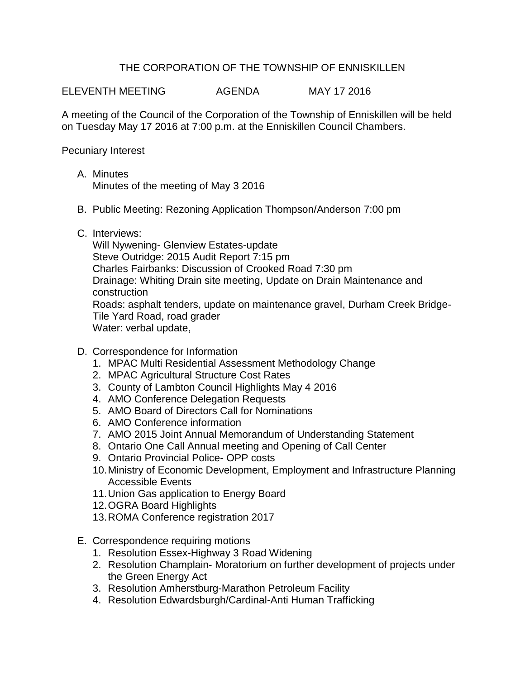## THE CORPORATION OF THE TOWNSHIP OF ENNISKILLEN

ELEVENTH MEETING AGENDA MAY 17 2016

A meeting of the Council of the Corporation of the Township of Enniskillen will be held on Tuesday May 17 2016 at 7:00 p.m. at the Enniskillen Council Chambers.

Pecuniary Interest

- A. Minutes Minutes of the meeting of May 3 2016
- B. Public Meeting: Rezoning Application Thompson/Anderson 7:00 pm
- C. Interviews:

Will Nywening- Glenview Estates-update Steve Outridge: 2015 Audit Report 7:15 pm Charles Fairbanks: Discussion of Crooked Road 7:30 pm Drainage: Whiting Drain site meeting, Update on Drain Maintenance and construction Roads: asphalt tenders, update on maintenance gravel, Durham Creek Bridge-Tile Yard Road, road grader Water: verbal update,

- D. Correspondence for Information
	- 1. MPAC Multi Residential Assessment Methodology Change
	- 2. MPAC Agricultural Structure Cost Rates
	- 3. County of Lambton Council Highlights May 4 2016
	- 4. AMO Conference Delegation Requests
	- 5. AMO Board of Directors Call for Nominations
	- 6. AMO Conference information
	- 7. AMO 2015 Joint Annual Memorandum of Understanding Statement
	- 8. Ontario One Call Annual meeting and Opening of Call Center
	- 9. Ontario Provincial Police- OPP costs
	- 10.Ministry of Economic Development, Employment and Infrastructure Planning Accessible Events
	- 11.Union Gas application to Energy Board
	- 12.OGRA Board Highlights
	- 13.ROMA Conference registration 2017
- E. Correspondence requiring motions
	- 1. Resolution Essex-Highway 3 Road Widening
	- 2. Resolution Champlain- Moratorium on further development of projects under the Green Energy Act
	- 3. Resolution Amherstburg-Marathon Petroleum Facility
	- 4. Resolution Edwardsburgh/Cardinal-Anti Human Trafficking